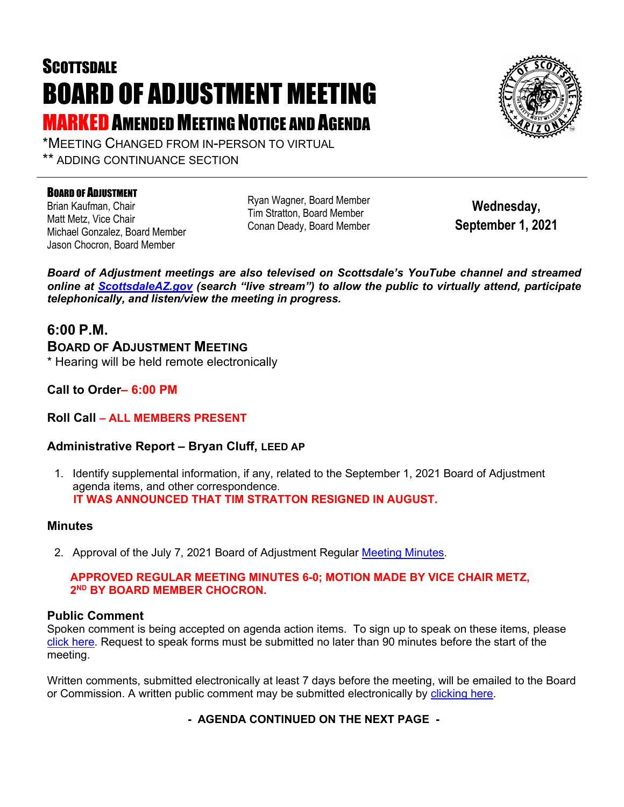# **SCOTTSDALE** BOARD OF ADJUSTMENT MEETING **MARKED AMENDED MEETING NOTICE AND AGENDA**



\*MEETING CHANGED FROM IN-PERSON TO VIRTUAL \*\* ADDING CONTINUANCE SECTION

#### BOARD OF ADJUSTMENT

Brian Kaufman, Chair Matt Metz, Vice Chair Michael Gonzalez, Board Member Jason Chocron, Board Member

Ryan Wagner, Board Member Tim Stratton, Board Member Conan Deady, Board Member

**Wednesday, September 1, 2021**

*Board of Adjustment meetings are also televised on Scottsdale's YouTube channel and streamed online at [ScottsdaleAZ.gov](http://www.scottsdaleaz.gov/) (search "live stream") to allow the public to virtually attend, participate telephonically, and listen/view the meeting in progress.*

### **6:00 P.M.**

**BOARD OF ADJUSTMENT MEETING** 

\* Hearing will be held remote electronically

**Call to Order– 6:00 PM**

#### **Roll Call – ALL MEMBERS PRESENT**

#### **Administrative Report – Bryan Cluff, LEED AP**

1. Identify supplemental information, if any, related to the September 1, 2021 Board of Adjustment agenda items, and other correspondence.  **IT WAS ANNOUNCED THAT TIM STRATTON RESIGNED IN AUGUST.**

#### **Minutes**

2. Approval of the July 7, 2021 Board of Adjustment Regular [Meeting Minutes.](https://eservices.scottsdaleaz.gov/planning/projectsummary/unrelated_documents/BOA_MINUTES_07072021.pdf)

#### **APPROVED REGULAR MEETING MINUTES 6-0; MOTION MADE BY VICE CHAIR METZ, 2ND BY BOARD MEMBER CHOCRON.**

#### **Public Comment**

Spoken comment is being accepted on agenda action items. To sign up to speak on these items, please [click here.](https://www.scottsdaleaz.gov/boards/board-of-adjustment/spoken-comment) Request to speak forms must be submitted no later than 90 minutes before the start of the meeting.

Written comments, submitted electronically at least 7 days before the meeting, will be emailed to the Board or Commission. A written public comment may be submitted electronically by [clicking here.](https://www.scottsdaleaz.gov/boards/board-of-adjustment/public-comment)

**- AGENDA CONTINUED ON THE NEXT PAGE -**